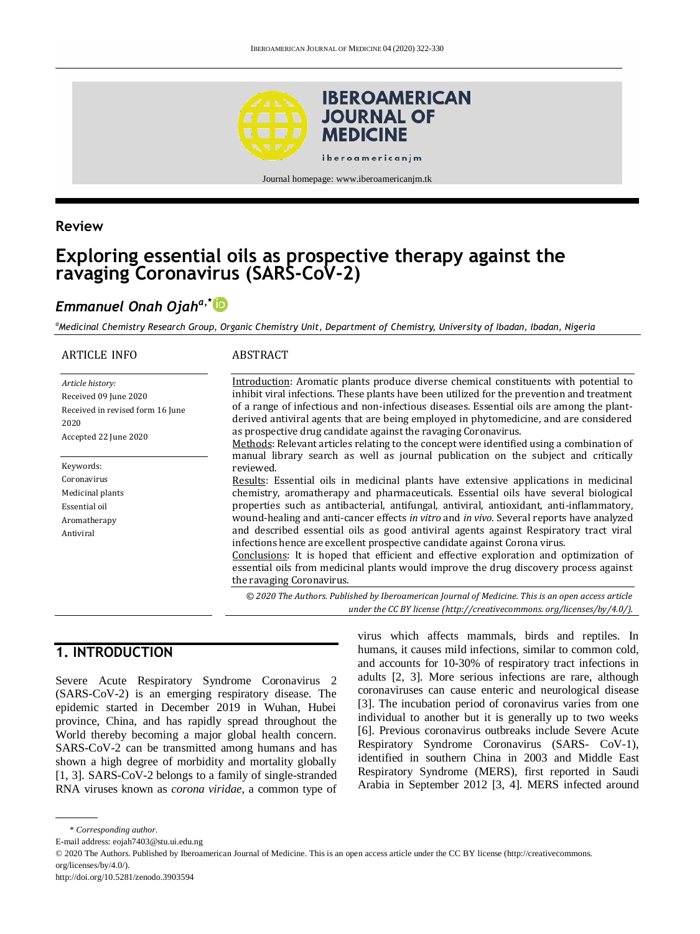

Journal homepage: www.iberoamericanjm.tk

## **Review**

# **Exploring essential oils as prospective therapy against the ravaging Coronavirus (SARS-CoV-2)**

# *Emmanuel Onah Ojaha,\**

*<sup>a</sup>Medicinal Chemistry Research Group, Organic Chemistry Unit, Department of Chemistry, University of Ibadan, Ibadan, Nigeria*

| <b>ARTICLE INFO</b>                                                                                            | ABSTRACT                                                                                                                                                                                                                                                                                                                                                                                                                                     |
|----------------------------------------------------------------------------------------------------------------|----------------------------------------------------------------------------------------------------------------------------------------------------------------------------------------------------------------------------------------------------------------------------------------------------------------------------------------------------------------------------------------------------------------------------------------------|
| Article history:<br>Received 09 June 2020<br>Received in revised form 16 June<br>2020<br>Accepted 22 June 2020 | Introduction: Aromatic plants produce diverse chemical constituents with potential to<br>inhibit viral infections. These plants have been utilized for the prevention and treatment<br>of a range of infectious and non-infectious diseases. Essential oils are among the plant-<br>derived antiviral agents that are being employed in phytomedicine, and are considered<br>as prospective drug candidate against the ravaging Coronavirus. |
|                                                                                                                | Methods: Relevant articles relating to the concept were identified using a combination of<br>manual library search as well as journal publication on the subject and critically                                                                                                                                                                                                                                                              |
| Keywords:                                                                                                      | reviewed.                                                                                                                                                                                                                                                                                                                                                                                                                                    |
| Coronavirus                                                                                                    | Results: Essential oils in medicinal plants have extensive applications in medicinal                                                                                                                                                                                                                                                                                                                                                         |
| Medicinal plants<br>Essential oil                                                                              | chemistry, aromatherapy and pharmaceuticals. Essential oils have several biological<br>properties such as antibacterial, antifungal, antiviral, antioxidant, anti-inflammatory,                                                                                                                                                                                                                                                              |
| Aromatherapy                                                                                                   | wound-healing and anti-cancer effects in vitro and in vivo. Several reports have analyzed                                                                                                                                                                                                                                                                                                                                                    |
| Antiviral                                                                                                      | and described essential oils as good antiviral agents against Respiratory tract viral<br>infections hence are excellent prospective candidate against Corona virus.<br>Conclusions: It is hoped that efficient and effective exploration and optimization of<br>essential oils from medicinal plants would improve the drug discovery process against<br>the ravaging Coronavirus.                                                           |
|                                                                                                                | © 2020 The Authors. Published by Iberoamerican Journal of Medicine. This is an open access article                                                                                                                                                                                                                                                                                                                                           |

*under the CC BY license (http:/[/creativecommons. org/licenses/by/4.0/\)](https://creativecommons.org/licenses/by/4.0/).*

# **1. INTRODUCTION**

Severe Acute Respiratory Syndrome Coronavirus 2 (SARS-CoV-2) is an emerging respiratory disease. The epidemic started in December 2019 in Wuhan, Hubei province, China, and has rapidly spread throughout the World thereby becoming a major global health concern. SARS-CoV-2 can be transmitted among humans and has shown a high degree of morbidity and mortality globally [1, 3]. SARS-CoV-2 belongs to a family of single-stranded RNA viruses known as *corona viridae*, a common type of

virus which affects mammals, birds and reptiles. In humans, it causes mild infections, similar to common cold, and accounts for 10-30% of respiratory tract infections in adults [\[2, 3\].](https://www.pharmaceutical-journal.com/news-and-analysis/features/everything-you-should-know-about-the-coronavirus-outbreak/20207629.article?firstPass=false#fn_4) More serious infections are rare, although coronaviruses can cause enteric and neurological disease [\[3\].](https://www.pharmaceutical-journal.com/news-and-analysis/features/everything-you-should-know-about-the-coronavirus-outbreak/20207629.article?firstPass=false#fn_5) The incubation period of coronavirus varies from one individual to another but it is generally up to two weeks [\[6\].](https://www.pharmaceutical-journal.com/news-and-analysis/features/everything-you-should-know-about-the-coronavirus-outbreak/20207629.article?firstPass=false#fn_6) Previous coronavirus outbreaks include Severe Acute Respiratory Syndrome Coronavirus (SARS- CoV-1), identified in southern China in 2003 and [Middle East](https://www.pharmaceutical-journal.com/news-and-analysis/features/everything-you-should-know-about-the-coronavirus-outbreak/news-and-analysis/features/investigating-treatment-strategies-for-the-middle-east-respiratory-syndrome-coronavirus/20066890.article)  [Respiratory Syndrome \(MERS\)](https://www.pharmaceutical-journal.com/news-and-analysis/features/everything-you-should-know-about-the-coronavirus-outbreak/news-and-analysis/features/investigating-treatment-strategies-for-the-middle-east-respiratory-syndrome-coronavirus/20066890.article), first reported in Saudi Arabia in September 2012 [3, 4]. MERS infected around

<sup>\*</sup> *Corresponding author.*

E-mail address: eojah7403@stu.ui.edu.ng

<sup>© 2020</sup> The Authors. Published by Iberoamerican Journal of Medicine. This is an open access article under the CC BY license (http://creativecommons. org/licenses/by/4.0/).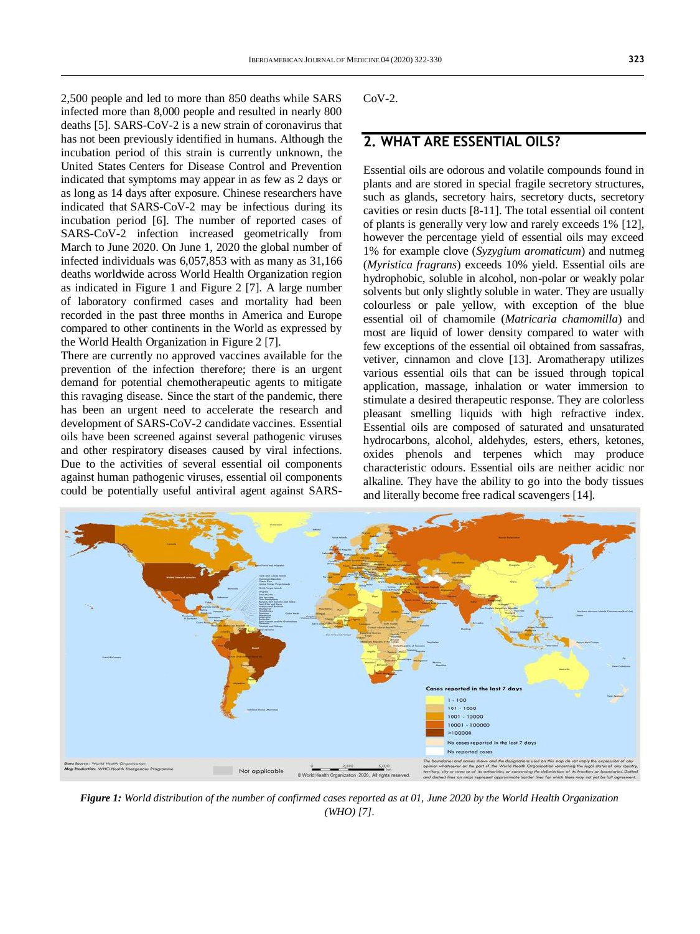2,500 people and led to more than 850 deaths while SARS infected more than 8,000 people and resulted in nearly 800 deaths [5]. SARS-CoV-2 is a new strain of coronavirus that has not been previously identified in humans. Although the incubation period of this strain is currently unknown, the United States Centers for Disease Control and Prevention indicated that symptoms may appear in as few as 2 days or as long as 14 days after exposure. Chinese researchers have indicated that SARS-CoV-2 may be infectious during its incubation period [\[6\].](https://www.pharmaceutical-journal.com/news-and-analysis/features/everything-you-should-know-about-the-coronavirus-outbreak/20207629.article?firstPass=false#fn_6) The number of reported cases of SARS-CoV-2 infection increased geometrically from March to June 2020. On June 1, 2020 the global number of infected individuals was 6,057,853 with as many as 31,166 deaths worldwide across World Health Organization region as indicated in Figure 1 and Figure 2 [7]. A large number of laboratory confirmed cases and mortality had been recorded in the past three months in America and Europe compared to other continents in the World as expressed by the World Health Organization in Figure 2 [7].

There are currently no approved vaccines available for the prevention of the infection therefore; there is an urgent demand for potential chemotherapeutic agents to mitigate this ravaging disease. Since the start of the pandemic, there has been an urgent need to accelerate the research and development of SARS-CoV-2 candidate vaccines. Essential oils have been screened against several pathogenic viruses and other respiratory diseases caused by viral infections. Due to the activities of several essential oil components against human pathogenic viruses, essential oil components could be potentially useful antiviral agent against SARS-

CoV-2.

## **2. WHAT ARE ESSENTIAL OILS?**

Essential oils are odorous and volatile compounds found in plants and are stored in special fragile secretory structures, such as glands, secretory hairs, secretory ducts, secretory cavities or resin ducts [8-11]. The total essential oil content of plants is generally very low and rarely exceeds 1% [12], however the percentage yield of essential oils may exceed 1% for example clove (*Syzygium aromaticum*) and nutmeg (*Myristica fragrans*) exceeds 10% yield. Essential oils are hydrophobic, soluble in alcohol, non-polar or weakly polar solvents but only slightly soluble in water. They are usually colourless or pale yellow, with exception of the blue essential oil of chamomile (*Matricaria chamomilla*) and most are liquid of lower density compared to water with few exceptions of the essential oil obtained from sassafras, vetiver, cinnamon and clove [13]. Aromatherapy utilizes various essential oils that can be issued through topical application, massage, inhalation or water immersion to stimulate a desired therapeutic response. They are colorless pleasant smelling liquids with high refractive index. Essential oils are composed of saturated and unsaturated hydrocarbons, alcohol, aldehydes, esters, ethers, ketones, oxides phenols and terpenes which may produce characteristic odours. Essential oils are neither acidic nor alkaline. They have the ability to go into the body tissues and literally become free radical scavengers [14].



*Figure 1: World distribution of the number of confirmed cases reported as at 01, June 2020 by the World Health Organization (WHO) [7].*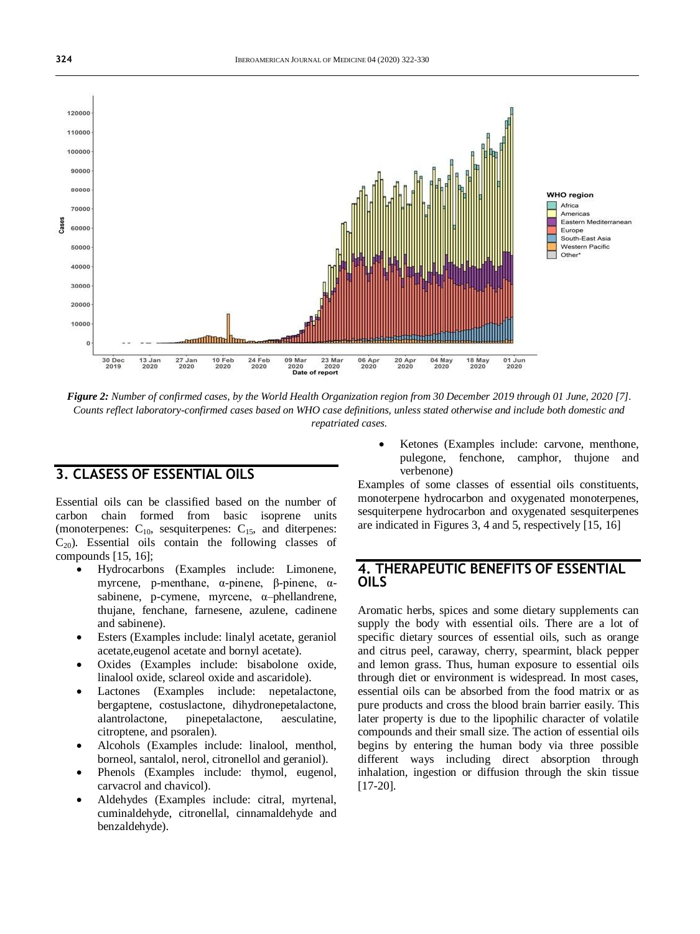

*Figure 2: Number of confirmed cases, by the World Health Organization region from 30 December 2019 through 01 June, 2020 [7]. Counts reflect laboratory-confirmed cases based on WHO case definitions, unless stated otherwise and include both domestic and repatriated cases.*

# **3. CLASESS OF ESSENTIAL OILS**

Essential oils can be classified based on the number of carbon chain formed from basic isoprene units (monoterpenes:  $C_{10}$ , sesquiterpenes:  $C_{15}$ , and diterpenes:  $C_{20}$ ). Essential oils contain the following classes of compounds [15, 16];

- Hydrocarbons (Examples include: Limonene, myrcene, p-menthane, α-pinene, β-pinene, αsabinene, p-cymene, myrcene, α–phellandrene, thujane, fenchane, farnesene, azulene, cadinene and sabinene).
- Esters (Examples include: linalyl acetate, geraniol acetate,eugenol acetate and bornyl acetate).
- Oxides (Examples include: bisabolone oxide, linalool oxide, sclareol oxide and ascaridole).
- Lactones (Examples include: nepetalactone, bergaptene, costuslactone, dihydronepetalactone, alantrolactone, pinepetalactone, aesculatine, citroptene, and psoralen).
- Alcohols (Examples include: linalool, menthol, borneol, santalol, nerol, citronellol and geraniol).
- Phenols (Examples include: thymol, eugenol, carvacrol and chavicol).
- Aldehydes (Examples include: citral, myrtenal, cuminaldehyde, citronellal, cinnamaldehyde and benzaldehyde).

 Ketones (Examples include: carvone, menthone, pulegone, fenchone, camphor, thujone and verbenone)

Examples of some classes of essential oils constituents, monoterpene hydrocarbon and oxygenated monoterpenes, sesquiterpene hydrocarbon and oxygenated sesquiterpenes are indicated in Figures 3, 4 and 5, respectively [15, 16]

#### **4. THERAPEUTIC BENEFITS OF ESSENTIAL OILS**

Aromatic herbs, spices and some dietary supplements can supply the body with essential oils. There are a lot of specific dietary sources of essential oils, such as orange and citrus peel, caraway, cherry, spearmint, black pepper and lemon grass. Thus, human exposure to essential oils through diet or environment is widespread. In most cases, essential oils can be absorbed from the food matrix or as pure products and cross the blood brain barrier easily. This later property is due to the lipophilic character of volatile compounds and their small size. The action of essential oils begins by entering the human body via three possible different ways including direct absorption through inhalation, ingestion or diffusion through the skin tissue [17-20].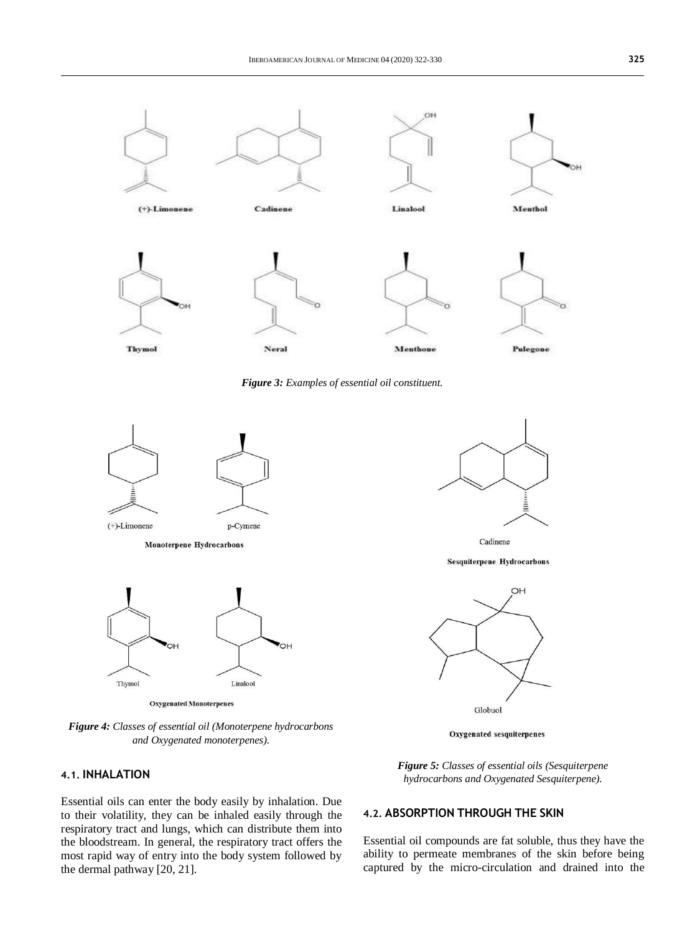

*Figure 3: Examples of essential oil constituent.*



**Monoterpene Hydrocarbons** 



Oxygenated Monoterpenes

*Figure 4: Classes of essential oil (Monoterpene hydrocarbons and Oxygenated monoterpenes).*

#### **4.1. INHALATION**

Essential oils can enter the body easily by inhalation. Due to their volatility, they can be inhaled easily through the respiratory tract and lungs, which can distribute them into the bloodstream. In general, the respiratory tract offers the most rapid way of entry into the body system followed by the dermal pathway [20, 21].



Cadinene

**Sesquiterpene Hydrocarbons** 



Oxygenated sesquiterpenes

*Figure 5: Classes of essential oils (Sesquiterpene hydrocarbons and Oxygenated Sesquiterpene).*

#### **4.2. ABSORPTION THROUGH THE SKIN**

Essential oil compounds are fat soluble, thus they have the ability to permeate membranes of the skin before being captured by the micro-circulation and drained into the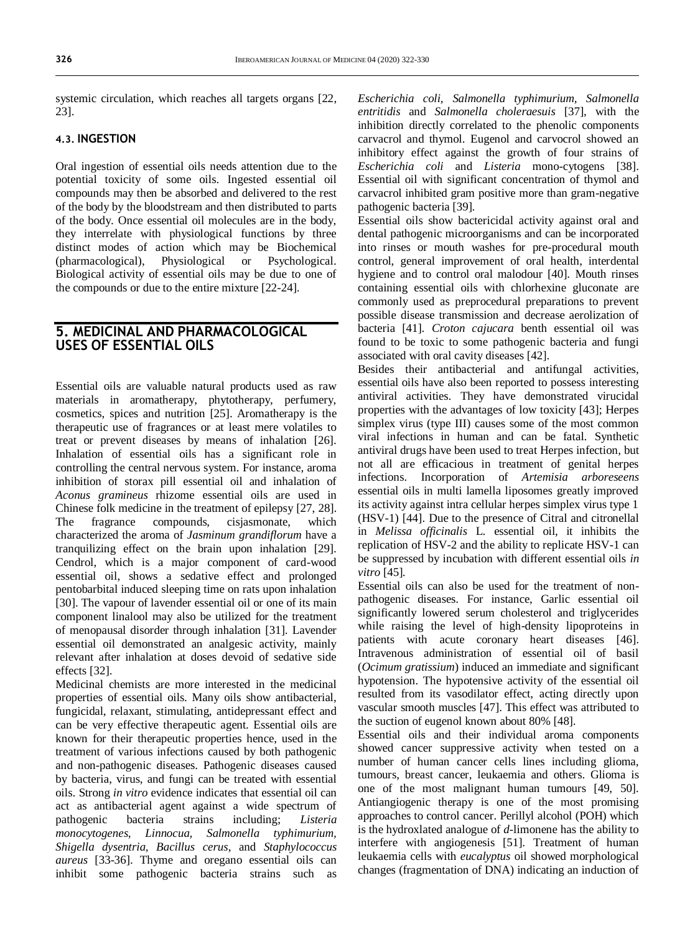systemic circulation, which reaches all targets organs [22, 23].

#### **4.3. INGESTION**

Oral ingestion of essential oils needs attention due to the potential toxicity of some oils. Ingested essential oil compounds may then be absorbed and delivered to the rest of the body by the bloodstream and then distributed to parts of the body. Once essential oil molecules are in the body, they interrelate with physiological functions by three distinct modes of action which may be Biochemical (pharmacological), Physiological or Psychological. Biological activity of essential oils may be due to one of the compounds or due to the entire mixture [22-24].

# **5. MEDICINAL AND PHARMACOLOGICAL USES OF ESSENTIAL OILS**

Essential oils are valuable natural products used as raw materials in aromatherapy, phytotherapy, perfumery, cosmetics, spices and nutrition [25]. Aromatherapy is the therapeutic use of fragrances or at least mere volatiles to treat or prevent diseases by means of inhalation [26]. Inhalation of essential oils has a significant role in controlling the central nervous system. For instance, aroma inhibition of storax pill essential oil and inhalation of *Aconus gramineus* rhizome essential oils are used in Chinese folk medicine in the treatment of epilepsy [27, 28]. The fragrance compounds, cisjasmonate, which characterized the aroma of *Jasminum grandiflorum* have a tranquilizing effect on the brain upon inhalation [29]. Cendrol, which is a major component of card-wood essential oil, shows a sedative effect and prolonged pentobarbital induced sleeping time on rats upon inhalation [30]. The vapour of lavender essential oil or one of its main component linalool may also be utilized for the treatment of menopausal disorder through inhalation [31]. Lavender essential oil demonstrated an analgesic activity, mainly relevant after inhalation at doses devoid of sedative side effects [32].

Medicinal chemists are more interested in the medicinal properties of essential oils. Many oils show antibacterial, fungicidal, relaxant, stimulating, antidepressant effect and can be very effective therapeutic agent. Essential oils are known for their therapeutic properties hence, used in the treatment of various infections caused by both pathogenic and non-pathogenic diseases. Pathogenic diseases caused by bacteria, virus, and fungi can be treated with essential oils. Strong *in vitro* evidence indicates that essential oil can act as antibacterial agent against a wide spectrum of pathogenic bacteria strains including; *Listeria monocytogenes, Linnocua, Salmonella typhimurium, Shigella dysentria, Bacillus cerus*, and *Staphylococcus aureus* [33-36]. Thyme and oregano essential oils can inhibit some pathogenic bacteria strains such as

*Escherichia coli, Salmonella typhimurium, Salmonella entritidis* and *Salmonella choleraesuis* [37], with the inhibition directly correlated to the phenolic components carvacrol and thymol. Eugenol and carvocrol showed an inhibitory effect against the growth of four strains of *Escherichia coli* and *Listeria* mono-cytogens [38]. Essential oil with significant concentration of thymol and carvacrol inhibited gram positive more than gram-negative pathogenic bacteria [39].

Essential oils show bactericidal activity against oral and dental pathogenic microorganisms and can be incorporated into rinses or mouth washes for pre-procedural mouth control, general improvement of oral health, interdental hygiene and to control oral malodour [40]. Mouth rinses containing essential oils with chlorhexine gluconate are commonly used as preprocedural preparations to prevent possible disease transmission and decrease aerolization of bacteria [41]. *Croton cajucara* benth essential oil was found to be toxic to some pathogenic bacteria and fungi associated with oral cavity diseases [42].

Besides their antibacterial and antifungal activities, essential oils have also been reported to possess interesting antiviral activities. They have demonstrated virucidal properties with the advantages of low toxicity [43]; Herpes simplex virus (type III) causes some of the most common viral infections in human and can be fatal. Synthetic antiviral drugs have been used to treat Herpes infection, but not all are efficacious in treatment of genital herpes infections. Incorporation of *Artemisia arboreseens*  essential oils in multi lamella liposomes greatly improved its activity against intra cellular herpes simplex virus type 1 (HSV-1) [44]. Due to the presence of Citral and citronellal in *Melissa officinalis* L. essential oil, it inhibits the replication of HSV-2 and the ability to replicate HSV-1 can be suppressed by incubation with different essential oils *in vitro* [45]*.*

Essential oils can also be used for the treatment of nonpathogenic diseases. For instance, Garlic essential oil significantly lowered serum cholesterol and triglycerides while raising the level of high-density lipoproteins in patients with acute coronary heart diseases [46]. Intravenous administration of essential oil of basil (*Ocimum gratissium*) induced an immediate and significant hypotension. The hypotensive activity of the essential oil resulted from its vasodilator effect, acting directly upon vascular smooth muscles [47]. This effect was attributed to the suction of eugenol known about 80% [48].

Essential oils and their individual aroma components showed cancer suppressive activity when tested on a number of human cancer cells lines including glioma, tumours, breast cancer, leukaemia and others. Glioma is one of the most malignant human tumours [49, 50]. Antiangiogenic therapy is one of the most promising approaches to control cancer. Perillyl alcohol (POH) which is the hydroxlated analogue of *d*-limonene has the ability to interfere with angiogenesis [51]. Treatment of human leukaemia cells with *eucalyptus* oil showed morphological changes (fragmentation of DNA) indicating an induction of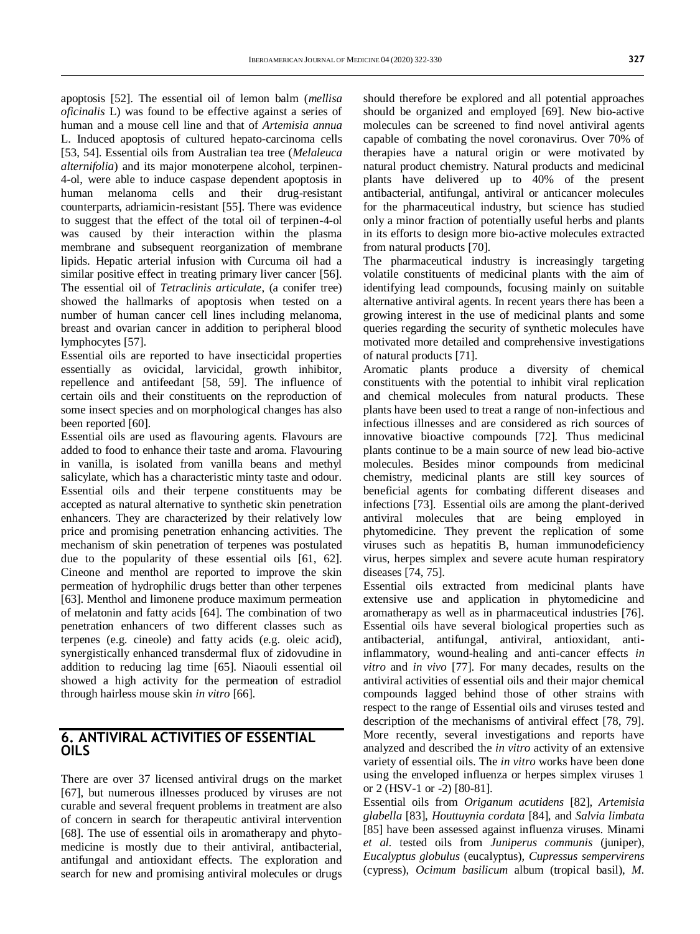apoptosis [52]. The essential oil of lemon balm (*mellisa oficinalis* L) was found to be effective against a series of human and a mouse cell line and that of *Artemisia annua*  L. Induced apoptosis of cultured hepato-carcinoma cells [53, 54]. Essential oils from Australian tea tree (*Melaleuca alternifolia*) and its major monoterpene alcohol, terpinen-4-ol, were able to induce caspase dependent apoptosis in human melanoma cells and their drug-resistant counterparts, adriamicin-resistant [55]. There was evidence to suggest that the effect of the total oil of terpinen-4-ol was caused by their interaction within the plasma membrane and subsequent reorganization of membrane lipids. Hepatic arterial infusion with Curcuma oil had a similar positive effect in treating primary liver cancer [56]. The essential oil of *Tetraclinis articulate*, (a conifer tree) showed the hallmarks of apoptosis when tested on a number of human cancer cell lines including melanoma, breast and ovarian cancer in addition to peripheral blood lymphocytes [57].

Essential oils are reported to have insecticidal properties essentially as ovicidal, larvicidal, growth inhibitor, repellence and antifeedant [58, 59]. The influence of certain oils and their constituents on the reproduction of some insect species and on morphological changes has also been reported [60].

Essential oils are used as flavouring agents. Flavours are added to food to enhance their taste and aroma. Flavouring in vanilla, is isolated from vanilla beans and methyl salicylate, which has a characteristic minty taste and odour. Essential oils and their terpene constituents may be accepted as natural alternative to synthetic skin penetration enhancers. They are characterized by their relatively low price and promising penetration enhancing activities. The mechanism of skin penetration of terpenes was postulated due to the popularity of these essential oils [61, 62]. Cineone and menthol are reported to improve the skin permeation of hydrophilic drugs better than other terpenes [63]. Menthol and limonene produce maximum permeation of melatonin and fatty acids [64]. The combination of two penetration enhancers of two different classes such as terpenes (e.g. cineole) and fatty acids (e.g. oleic acid), synergistically enhanced transdermal flux of zidovudine in addition to reducing lag time [65]. Niaouli essential oil showed a high activity for the permeation of estradiol through hairless mouse skin *in vitro* [66].

## **6. ANTIVIRAL ACTIVITIES OF ESSENTIAL OILS**

There are over 37 licensed antiviral drugs on the market [67], but numerous illnesses produced by viruses are not curable and several frequent problems in treatment are also of concern in search for therapeutic antiviral intervention [68]. The use of essential oils in aromatherapy and phytomedicine is mostly due to their antiviral, antibacterial, antifungal and antioxidant effects. The exploration and search for new and promising antiviral molecules or drugs

should therefore be explored and all potential approaches should be organized and employed [69]. New bio-active molecules can be screened to find novel antiviral agents capable of combating the novel coronavirus. Over 70% of therapies have a natural origin or were motivated by natural product chemistry. Natural products and medicinal plants have delivered up to 40% of the present antibacterial, antifungal, antiviral or anticancer molecules for the pharmaceutical industry, but science has studied only a minor fraction of potentially useful herbs and plants in its efforts to design more bio-active molecules extracted from natural products [70].

The pharmaceutical industry is increasingly targeting volatile constituents of medicinal plants with the aim of identifying lead compounds, focusing mainly on suitable alternative antiviral agents. In recent years there has been a growing interest in the use of medicinal plants and some queries regarding the security of synthetic molecules have motivated more detailed and comprehensive investigations of natural products [71].

Aromatic plants produce a diversity of chemical constituents with the potential to inhibit viral replication and chemical molecules from natural products. These plants have been used to treat a range of non-infectious and infectious illnesses and are considered as rich sources of innovative bioactive compounds [72]. Thus medicinal plants continue to be a main source of new lead bio-active molecules. Besides minor compounds from medicinal chemistry, medicinal plants are still key sources of beneficial agents for combating different diseases and infections [73]. Essential oils are among the plant-derived antiviral molecules that are being employed in phytomedicine. They prevent the replication of some viruses such as hepatitis B, human immunodeficiency virus, herpes simplex and severe acute human respiratory diseases [74, 75].

Essential oils extracted from medicinal plants have extensive use and application in phytomedicine and aromatherapy as well as in pharmaceutical industries [76]. Essential oils have several biological properties such as antibacterial, antifungal, antiviral, antioxidant, antiinflammatory, wound-healing and anti-cancer effects *in vitro* and *in vivo* [77]. For many decades, results on the antiviral activities of essential oils and their major chemical compounds lagged behind those of other strains with respect to the range of Essential oils and viruses tested and description of the mechanisms of antiviral effect [78, 79]. More recently, several investigations and reports have analyzed and described the *in vitro* activity of an extensive variety of essential oils. The *in vitro* works have been done using the enveloped influenza or herpes simplex viruses 1 or 2 (HSV-1 or -2) [80-81].

Essential oils from *Origanum acutidens* [82], *Artemisia glabella* [83], *Houttuynia cordata* [84], and *Salvia limbata*  [85] have been assessed against influenza viruses. Minami *et al.* tested oils from *Juniperus communis* (juniper), *Eucalyptus globulus* (eucalyptus), *Cupressus sempervirens*  (cypress), *Ocimum basilicum* album (tropical basil), *M.*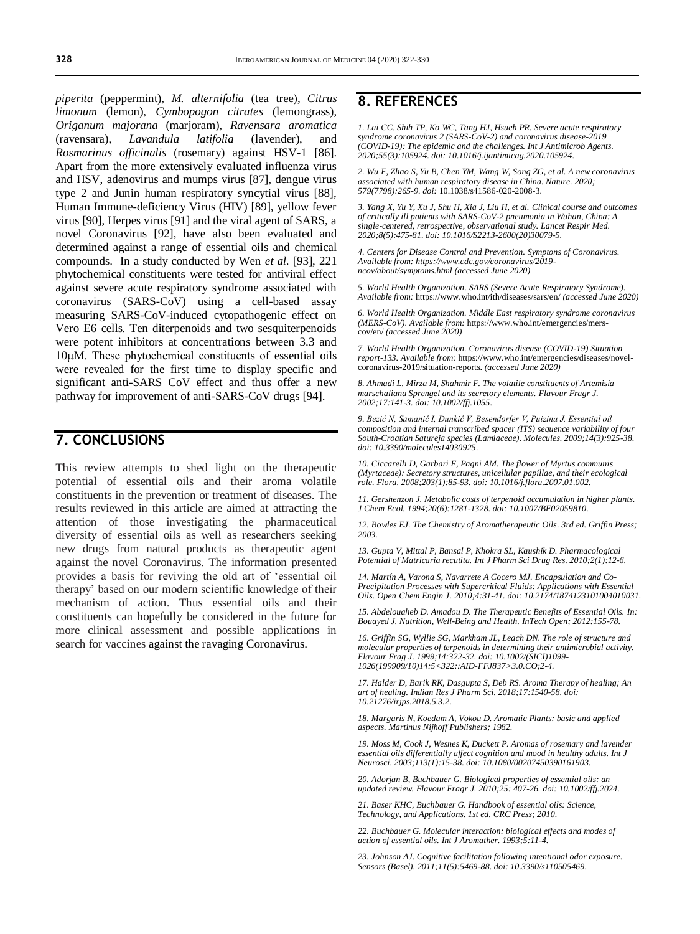*piperita* (peppermint), *M. alternifolia* (tea tree), *Citrus limonum* (lemon), *Cymbopogon citrates* (lemongrass), *Origanum majorana* (marjoram), *Ravensara aromatica*  (ravensara), *Lavandula latifolia* (lavender), and *Rosmarinus officinalis* (rosemary) against HSV-1 [86]. Apart from the more extensively evaluated influenza virus and HSV, adenovirus and mumps virus [87], dengue virus type 2 and Junin human respiratory syncytial virus [88], Human Immune-deficiency Virus (HIV) [89], yellow fever virus [90], Herpes virus [91] and the viral agent of SARS, a novel Coronavirus [92], have also been evaluated and determined against a range of essential oils and chemical compounds. In a study conducted by Wen *et al.* [93], 221 phytochemical constituents were tested for antiviral effect against severe acute respiratory syndrome associated with coronavirus (SARS-CoV) using a cell-based assay measuring SARS-CoV-induced cytopathogenic effect on Vero E6 cells. Ten diterpenoids and two sesquiterpenoids were potent inhibitors at concentrations between 3.3 and 10μM. These phytochemical constituents of essential oils were revealed for the first time to display specific and significant anti-SARS CoV effect and thus offer a new pathway for improvement of anti-SARS-CoV drugs [94].

# **7. CONCLUSIONS**

This review attempts to shed light on the therapeutic potential of essential oils and their aroma volatile constituents in the prevention or treatment of diseases. The results reviewed in this article are aimed at attracting the attention of those investigating the pharmaceutical diversity of essential oils as well as researchers seeking new drugs from natural products as therapeutic agent against the novel Coronavirus. The information presented provides a basis for reviving the old art of 'essential oil therapy' based on our modern scientific knowledge of their mechanism of action. Thus essential oils and their constituents can hopefully be considered in the future for more clinical assessment and possible applications in search for vaccines against the ravaging Coronavirus.

# **8. REFERENCES**

*1. Lai CC, Shih TP, Ko WC, Tang HJ, Hsueh PR. Severe acute respiratory syndrome coronavirus 2 (SARS-CoV-2) and coronavirus disease-2019 (COVID-19): The epidemic and the challenges. Int J Antimicrob Agents. 2020;55(3):105924. doi[: 10.1016/j.ijantimicag.2020.105924.](https://doi.org/10.1016/j.ijantimicag.2020.105924)*

*2. Wu F, Zhao S, Yu B, Chen YM, Wang W, Song ZG, et al. A new coronavirus associated with human respiratory disease in China. Nature. 2020; 579(7798):265-9. doi:* [10.1038/s41586-020-2008-3](https://doi.org/10.1038/s41586-020-2008-3)*.* 

*3. Yang X, Yu Y, Xu J, Shu H, Xia J, Liu H, et al. Clinical course and outcomes of critically ill patients with SARS-CoV-2 pneumonia in Wuhan, China: A single-centered, retrospective, observational study. Lancet Respir Med. 2020;8(5):475-81. doi[: 10.1016/S2213-2600\(20\)30079-5.](https://doi.org/10.1016/s2213-2600(20)30079-5)*

*4. Centers for Disease Control and Prevention. Symptons of Coronavirus. Available from: [https://www.cdc.gov/coronavirus/2019](https://www.cdc.gov/coronavirus/2019-ncov/about/symptoms.html) [ncov/about/symptoms.html](https://www.cdc.gov/coronavirus/2019-ncov/about/symptoms.html) (accessed June 2020)*

*5. World Health Organization. SARS (Severe Acute Respiratory Syndrome). Available from:* <https://www.who.int/ith/diseases/sars/en/> *(accessed June 2020)*

*6. World Health Organization. Middle East respiratory syndrome coronavirus (MERS-CoV). Available from:* [https://www.who.int/emergencies/mers](https://www.who.int/emergencies/mers-cov/en/)[cov/en/](https://www.who.int/emergencies/mers-cov/en/) *(accessed June 2020)*

*7. World Health Organization. Coronavirus disease (COVID-19) Situation report-133. Available from:* [https://www.who.int/emergencies/diseases/novel](https://www.who.int/emergencies/diseases/novel-coronavirus-2019/situation-reports)[coronavirus-2019/situation-reports.](https://www.who.int/emergencies/diseases/novel-coronavirus-2019/situation-reports) *(accessed June 2020)*

*8. Ahmadi L, Mirza M, Shahmir F. The volatile constituents of Artemisia marschaliana Sprengel and its secretory elements. Flavour Fragr J. 2002;17:141-3. doi[: 10.1002/ffj.1055.](https://doi.org/10.1002/ffj.1055)*

*9. Bezić N, Samanić I, Dunkić V, Besendorfer V, Puizina J. Essential oil composition and internal transcribed spacer (ITS) sequence variability of four South-Croatian Satureja species (Lamiaceae). Molecules. 2009;14(3):925-38. doi[: 10.3390/molecules14030925.](https://doi.org/10.3390/molecules14030925)*

*10. Ciccarelli D, Garbari F, Pagni AM. The flower of Myrtus communis (Myrtaceae): Secretory structures, unicellular papillae, and their ecological role. Flora. 2008;203(1):85-93. doi[: 10.1016/j.flora.2007.01.002.](https://doi.org/10.1016/j.flora.2007.01.002)*

*11. Gershenzon J. Metabolic costs of terpenoid accumulation in higher plants. J Chem Ecol. 1994;20(6):1281-1328. doi[: 10.1007/BF02059810.](https://doi.org/10.1007/bf02059810)* 

*12. Bowles EJ. The Chemistry of Aromatherapeutic Oils. 3rd ed. Griffin Press; 2003.*

*13. Gupta V, Mittal P, Bansal P, Khokra SL, Kaushik D. Pharmacological Potential of Matricaria recutita. Int J Pharm Sci Drug Res. 2010;2(1):12-6.*

*14. Martín A, Varona S, Navarrete A Cocero MJ. Encapsulation and Co-Precipitation Processes with Supercritical Fluids: Applications with Essential Oils. Open Chem Engin J. 2010;4:31-41. doi[: 10.2174/1874123101004010031.](http://dx.doi.org/10.2174/1874123101004010031)*

*15. Abdelouaheb D. Amadou D. The Therapeutic Benefits of Essential Oils. In: Bouayed J. Nutrition, Well-Being and Health. InTech Open; 2012:155-78.*

*16. Griffin SG, Wyllie SG, Markham JL, Leach DN. The role of structure and molecular properties of terpenoids in determining their antimicrobial activity. Flavour Frag J. 1999;14:322-32. doi[: 10.1002/\(SICI\)1099-](https://doi.org/10.1002/(SICI)1099-1026(199909/10)14:5%3C322::AID-FFJ837%3E3.0.CO;2-4) [1026\(199909/10\)14:5<322::AID-FFJ837>3.0.CO;2-4.](https://doi.org/10.1002/(SICI)1099-1026(199909/10)14:5%3C322::AID-FFJ837%3E3.0.CO;2-4)*

*17. Halder D, Barik RK, Dasgupta S, Deb RS. Aroma Therapy of healing; An art of healing. Indian Res J Pharm Sci. 2018;17:1540-58. doi: [10.21276/irjps.2018.5.3.2.](https://irjps.in/journal/300.pdf)*

*18. Margaris N, Koedam A, Vokou D. Aromatic Plants: basic and applied aspects. Martinus Nijhoff Publishers; 1982.*

*19. Moss M, Cook J, Wesnes K, Duckett P. Aromas of rosemary and lavender essential oils differentially affect cognition and mood in healthy adults. Int J Neurosci. 2003;113(1):15-38. doi[: 10.1080/00207450390161903.](https://doi.org/10.1080/00207450390161903)*

*20. Adorjan B, Buchbauer G. Biological properties of essential oils: an updated review. Flavour Fragr J. 2010;25: 407-26. doi[: 10.1002/ffj.2024.](https://doi.org/10.1002/ffj.2024)*

*21. Baser KHC, Buchbauer G. Handbook of essential oils: Science, Technology, and Applications. 1st ed. CRC Press; 2010.*

*22. Buchbauer G. Molecular interaction: biological effects and modes of action of essential oils. Int J Aromather. 1993;5:11-4.*

*23. Johnson AJ. Cognitive facilitation following intentional odor exposure. Sensors (Basel). 2011;11(5):5469-88. doi[: 10.3390/s110505469.](https://doi.org/10.3390/s110505469)*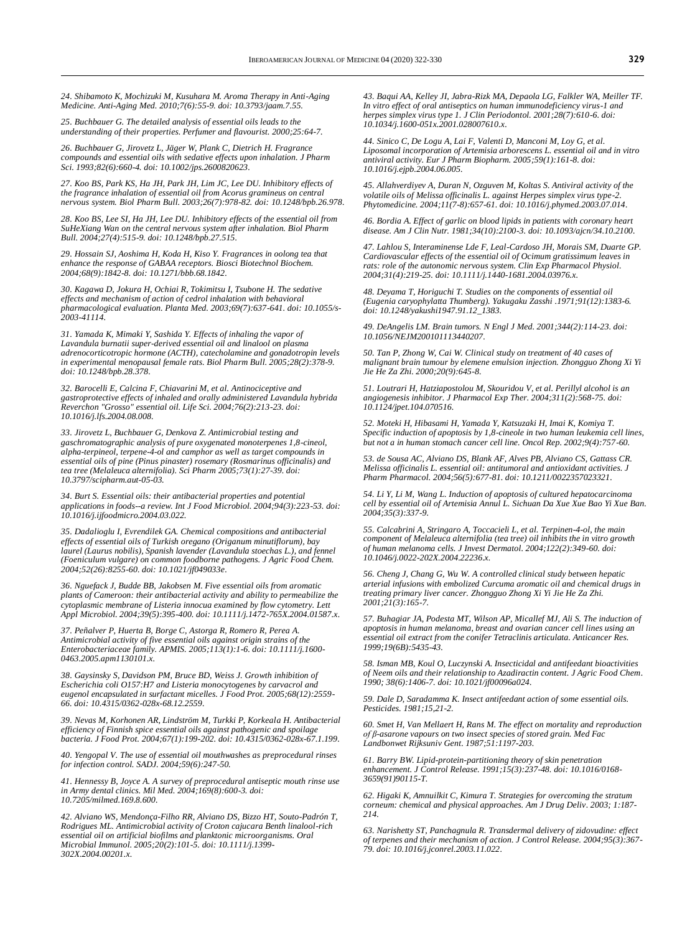*24. Shibamoto K, Mochizuki M, Kusuhara M. Aroma Therapy in Anti-Aging Medicine. Anti-Aging Med. 2010;7(6):55-9. doi[: 10.3793/jaam.7.55.](https://doi.org/10.3793/jaam.7.55)*

*25. Buchbauer G. The detailed analysis of essential oils leads to the understanding of their properties. Perfumer and flavourist. 2000;25:64-7.*

*26. Buchbauer G, Jirovetz L, Jäger W, Plank C, Dietrich H. Fragrance compounds and essential oils with sedative effects upon inhalation. J Pharm Sci. 1993;82(6):660-4. doi[: 10.1002/jps.2600820623.](https://doi.org/10.1002/jps.2600820623)* 

*27. Koo BS, Park KS, Ha JH, Park JH, Lim JC, Lee DU. Inhibitory effects of the fragrance inhalation of essential oil from Acorus gramineus on central nervous system. Biol Pharm Bull. 2003;26(7):978-82. doi[: 10.1248/bpb.26.978.](https://doi.org/10.1248/bpb.26.978)* 

*28. Koo BS, Lee SI, Ha JH, Lee DU. Inhibitory effects of the essential oil from SuHeXiang Wan on the central nervous system after inhalation. Biol Pharm Bull. 2004;27(4):515-9. doi[: 10.1248/bpb.27.515.](https://doi.org/10.1248/bpb.27.515)* 

*29. Hossain SJ, Aoshima H, Koda H, Kiso Y. Fragrances in oolong tea that enhance the response of GABAA receptors. Biosci Biotechnol Biochem. 2004;68(9):1842-8. doi[: 10.1271/bbb.68.1842.](https://doi.org/10.1271/bbb.68.1842)* 

*30. Kagawa D, Jokura H, Ochiai R, Tokimitsu I, Tsubone H. The sedative effects and mechanism of action of cedrol inhalation with behavioral pharmacological evaluation. Planta Med. 2003;69(7):637-641. doi[: 10.1055/s-](https://doi.org/10.1055/s-2003-41114)[2003-41114.](https://doi.org/10.1055/s-2003-41114)*

*31. Yamada K, Mimaki Y, Sashida Y. Effects of inhaling the vapor of Lavandula burnatii super-derived essential oil and linalool on plasma adrenocorticotropic hormone (ACTH), catecholamine and gonadotropin levels in experimental menopausal female rats. Biol Pharm Bull. 2005;28(2):378-9. doi[: 10.1248/bpb.28.378.](https://doi.org/10.1248/bpb.28.378)*

*32. Barocelli E, Calcina F, Chiavarini M, et al. Antinociceptive and gastroprotective effects of inhaled and orally administered Lavandula hybrida Reverchon "Grosso" essential oil. Life Sci. 2004;76(2):213-23. doi: 10.1016/j.lfs.2004.08.008.* 

*33. Jirovetz L, Buchbauer G, Denkova Z. Antimicrobial testing and gaschromatographic analysis of pure oxygenated monoterpenes 1,8-cineol, alpha-terpineol, terpene-4-ol and camphor as well as target compounds in essential oils of pine (Pinus pinaster) rosemary (Rosmarinus officinalis) and tea tree (Melaleuca alternifolia). Sci Pharm 2005;73(1):27-39. doi: [10.3797/scipharm.aut-05-03.](https://doi.org/10.3797/scipharm.aut-05-03)*

*34. Burt S. Essential oils: their antibacterial properties and potential applications in foods--a review. Int J Food Microbiol. 2004;94(3):223-53. doi: [10.1016/j.ijfoodmicro.2004.03.022.](https://doi.org/10.1016/j.ijfoodmicro.2004.03.022)*

*35. Dadalioglu I, Evrendilek GA. Chemical compositions and antibacterial effects of essential oils of Turkish oregano (Origanum minutiflorum), bay laurel (Laurus nobilis), Spanish lavender (Lavandula stoechas L.), and fennel (Foeniculum vulgare) on common foodborne pathogens. J Agric Food Chem. 2004;52(26):8255-60. doi[: 10.1021/jf049033e.](https://doi.org/10.1021/jf049033e)*

*36. Nguefack J, Budde BB, Jakobsen M. Five essential oils from aromatic plants of Cameroon: their antibacterial activity and ability to permeabilize the cytoplasmic membrane of Listeria innocua examined by flow cytometry. Lett Appl Microbiol. 2004;39(5):395-400. doi[: 10.1111/j.1472-765X.2004.01587.x.](https://doi.org/10.1111/j.1472-765x.2004.01587.x)* 

*37. Peñalver P, Huerta B, Borge C, Astorga R, Romero R, Perea A. Antimicrobial activity of five essential oils against origin strains of the Enterobacteriaceae family. APMIS. 2005;113(1):1-6. doi[: 10.1111/j.1600-](https://doi.org/10.1111/j.1600-0463.2005.apm1130101.x) [0463.2005.apm1130101.x.](https://doi.org/10.1111/j.1600-0463.2005.apm1130101.x)* 

*38. Gaysinsky S, Davidson PM, Bruce BD, Weiss J. Growth inhibition of Escherichia coli O157:H7 and Listeria monocytogenes by carvacrol and eugenol encapsulated in surfactant micelles. J Food Prot. 2005;68(12):2559- 66. doi[: 10.4315/0362-028x-68.12.2559.](https://doi.org/10.4315/0362-028x-68.12.2559)* 

*39. Nevas M, Korhonen AR, Lindström M, Turkki P, Korkeala H. Antibacterial efficiency of Finnish spice essential oils against pathogenic and spoilage bacteria. J Food Prot. 2004;67(1):199-202. doi[: 10.4315/0362-028x-67.1.199.](https://doi.org/10.4315/0362-028x-67.1.199)* 

*40. Yengopal V. The use of essential oil mouthwashes as preprocedural rinses for infection control. SADJ. 2004;59(6):247-50.* 

*41. Hennessy B, Joyce A. A survey of preprocedural antiseptic mouth rinse use in Army dental clinics. Mil Med. 2004;169(8):600-3. doi: [10.7205/milmed.169.8.600.](https://doi.org/10.7205/milmed.169.8.600)* 

*42. Alviano WS, Mendonça-Filho RR, Alviano DS, Bizzo HT, Souto-Padrón T, Rodrigues ML. Antimicrobial activity of Croton cajucara Benth linalool-rich essential oil on artificial biofilms and planktonic microorganisms. Oral Microbial Immunol. 2005;20(2):101-5. doi[: 10.1111/j.1399-](https://doi.org/10.1111/j.1399-302x.2004.00201.x) [302X.2004.00201.x.](https://doi.org/10.1111/j.1399-302x.2004.00201.x)*

*43. Baqui AA, Kelley JI, Jabra-Rizk MA, Depaola LG, Falkler WA, Meiller TF. In vitro effect of oral antiseptics on human immunodeficiency virus-1 and herpes simplex virus type 1. J Clin Periodontol. 2001;28(7):610-6. doi: [10.1034/j.1600-051x.2001.028007610.x.](https://doi.org/10.1034/j.1600-051x.2001.028007610.x)*

*44. Sinico C, De Logu A, Lai F, Valenti D, Manconi M, Loy G, et al. Liposomal incorporation of Artemisia arborescens L. essential oil and in vitro antiviral activity. Eur J Pharm Biopharm. 2005;59(1):161-8. doi: [10.1016/j.ejpb.2004.06.005.](https://doi.org/10.1016/j.ejpb.2004.06.005)* 

*45. Allahverdiyev A, Duran N, Ozguven M, Koltas S. Antiviral activity of the volatile oils of Melissa officinalis L. against Herpes simplex virus type-2. Phytomedicine. 2004;11(7-8):657-61. doi[: 10.1016/j.phymed.2003.07.014.](https://doi.org/10.1016/j.phymed.2003.07.014)*

*46. Bordia A. Effect of garlic on blood lipids in patients with coronary heart disease. Am J Clin Nutr. 1981;34(10):2100-3. doi[: 10.1093/ajcn/34.10.2100.](https://doi.org/10.1093/ajcn/34.10.2100)*

*47. Lahlou S, Interaminense Lde F, Leal-Cardoso JH, Morais SM, Duarte GP. Cardiovascular effects of the essential oil of Ocimum gratissimum leaves in rats: role of the autonomic nervous system. Clin Exp Pharmacol Physiol. 2004;31(4):219-25. doi[: 10.1111/j.1440-1681.2004.03976.x.](https://doi.org/10.1111/j.1440-1681.2004.03976.x)* 

*48. Deyama T, Horiguchi T. Studies on the components of essential oil (Eugenia caryophylatta Thumberg). Yakugaku Zasshi .1971;91(12):1383-6. doi[: 10.1248/yakushi1947.91.12\\_1383.](https://doi.org/10.1248/yakushi1947.91.12_1383)*

*49. DeAngelis LM. Brain tumors. N Engl J Med. 2001;344(2):114-23. doi: [10.1056/NEJM200101113440207.](https://doi.org/10.1056/nejm200101113440207)* 

*50. Tan P, Zhong W, Cai W. Clinical study on treatment of 40 cases of malignant brain tumour by elemene emulsion injection. Zhongguo Zhong Xi Yi Jie He Za Zhi. 2000;20(9):645-8.*

*51. Loutrari H, Hatziapostolou M, Skouridou V, et al. Perillyl alcohol is an angiogenesis inhibitor. J Pharmacol Exp Ther. 2004;311(2):568-75. doi: [10.1124/jpet.104.070516.](https://doi.org/10.1124/jpet.104.070516)* 

*52. Moteki H, Hibasami H, Yamada Y, Katsuzaki H, Imai K, Komiya T. Specific induction of apoptosis by 1,8-cineole in two human leukemia cell lines, but not a in human stomach cancer cell line. Oncol Rep. 2002;9(4):757-60.* 

*53. de Sousa AC, Alviano DS, Blank AF, Alves PB, Alviano CS, Gattass CR. Melissa officinalis L. essential oil: antitumoral and antioxidant activities. J Pharm Pharmacol. 2004;56(5):677-81. doi[: 10.1211/0022357023321.](https://doi.org/10.1211/0022357023321)*

*54. Li Y, Li M, Wang L. Induction of apoptosis of cultured hepatocarcinoma cell by essential oil of Artemisia Annul L. Sichuan Da Xue Xue Bao Yi Xue Ban. 2004;35(3):337-9.*

*55. Calcabrini A, Stringaro A, Toccacieli L, et al. Terpinen-4-ol, the main component of Melaleuca alternifolia (tea tree) oil inhibits the in vitro growth of human melanoma cells. J Invest Dermatol. 2004;122(2):349-60. doi: [10.1046/j.0022-202X.2004.22236.x.](https://doi.org/10.1046/j.0022-202x.2004.22236.x)* 

*56. Cheng J, Chang G, Wu W. A controlled clinical study between hepatic arterial infusions with embolized Curcuma aromatic oil and chemical drugs in treating primary liver cancer. Zhongguo Zhong Xi Yi Jie He Za Zhi. 2001;21(3):165-7.*

*57. Buhagiar JA, Podesta MT, Wilson AP, Micallef MJ, Ali S. The induction of apoptosis in human melanoma, breast and ovarian cancer cell lines using an essential oil extract from the conifer Tetraclinis articulata. Anticancer Res. 1999;19(6B):5435-43.* 

*58. Isman MB, Koul O, Luczynski A. Insecticidal and antifeedant bioactivities of Neem oils and their relationship to Azadiractin content. J Agric Food Chem. 1990; 38(6):1406-7. doi: [10.1021/jf00096a024.](https://doi.org/10.1021/jf00096a024)*

*59. Dale D, Saradamma K. Insect antifeedant action of some essential oils. Pesticides. 1981;15,21-2.*

*60. Smet H, Van Mellaert H, Rans M. The effect on mortality and reproduction of β-asarone vapours on two insect species of stored grain. Med Fac Landbonwet Rijksuniv Gent. 1987;51:1197-203.*

*61. Barry BW. Lipid-protein-partitioning theory of skin penetration enhancement. J Control Release. 1991;15(3):237-48. doi[: 10.1016/0168-](https://doi.org/10.1016/0168-3659(91)90115-T) [3659\(91\)90115-T.](https://doi.org/10.1016/0168-3659(91)90115-T)*

*62. Higaki K, Amnuilkit C, Kimura T. Strategies for overcoming the stratum corneum: chemical and physical approaches. Am J Drug Deliv. 2003; 1:187- 214.*

*63. Narishetty ST, Panchagnula R. Transdermal delivery of zidovudine: effect of terpenes and their mechanism of action. J Control Release. 2004;95(3):367- 79. doi[: 10.1016/j.jconrel.2003.11.022.](https://doi.org/10.1016/j.jconrel.2003.11.022)*